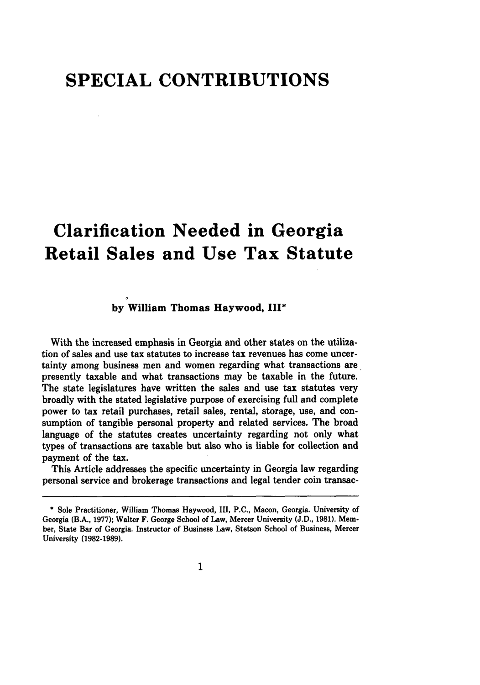## **SPECIAL CONTRIBUTIONS**

# **Clarification Needed in Georgia Retail Sales and Use Tax Statute**

### **by William Thomas Haywood, III\***

With the increased emphasis in Georgia and other states on the utilization of sales and use tax statutes to increase tax revenues has come uncertainty among business men and women regarding what transactions are presently taxable and what transactions may be taxable in the future. The state legislatures have written the sales and use tax statutes very broadly with the stated legislative purpose of exercising full and complete power to tax retail purchases, retail sales, rental, storage, use, and consumption of tangible personal property and related services. The broad language of the statutes creates uncertainty regarding not only what types of transactions are taxable but also who is liable for collection and payment of the tax.

This Article addresses the specific uncertainty in Georgia law regarding personal service and brokerage transactions and legal tender coin transac-

**<sup>\*</sup>** Sole Practitioner, William Thomas Haywood, III, P.C., Macon, Georgia. University of Georgia (B.A., **1977);** Walter F. George School of Law, Mercer University (J.D., **1981).** Member, State Bar of Georgia. Instructor of Business Law, Stetson School of Business, Mercer University **(1982-1989).**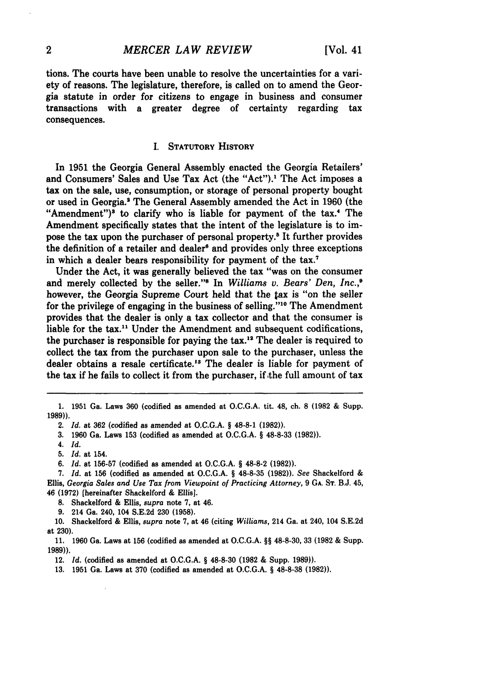**tions.** The courts have been unable to resolve the uncertainties for a variety of reasons. The legislature, therefore, is called on to amend the Georgia statute in order for citizens to engage in business and consumer transactions with a greater degree of certainty regarding tax consequences.

#### I. **STATUTORY HISTORY**

In **1951** the Georgia General Assembly enacted the Georgia Retailers' and Consumers' Sales and Use Tax Act (the "Act").<sup>1</sup> The Act imposes a tax on the sale, use, consumption, or storage of personal property bought or used in Georgia.8 The General Assembly amended the Act in 1960 (the "Amendment")<sup>3</sup> to clarify who is liable for payment of the tax.<sup>4</sup> The Amendment specifically states that the intent of the legislature is to impose the tax upon the purchaser of personal property.' It further provides the definition of a retailer and dealer<sup>6</sup> and provides only three exceptions in which a dealer bears responsibility for payment of the **tax.7**

Under the Act, it was generally believed the tax "was on the consumer and merely collected by the seller."8 In *Williams v. Bears' Den, Inc.,9* however, the Georgia Supreme Court held that the *tax* is "on the seller for the privilege of engaging in the business of selling."<sup>10</sup> The Amendment provides that the dealer is only a tax collector and that the consumer is liable for the tax.<sup>11</sup> Under the Amendment and subsequent codifications, the purchaser is responsible for paying the  $\text{tax.}^{12}$  The dealer is required to collect the tax from the purchaser upon sale to the purchaser, unless the dealer obtains a resale certificate.'8 The dealer is liable for payment of the tax if he fails to collect it from the purchaser, if the full amount of tax

**9.** 214 Ga. 240, 104 S.E.2d **230** (1958).

10. Shackelford & Ellis, *supra* note 7, at 46 (citing *Williams,* 214 Ga. at 240, 104 S.E.2d at 230).

11. 1960 Ga. Laws at 156 (codified as amended at O.C.G.A. **§§** 48-8-30, 33 (1982 & Supp. **1989)).**

12. *Id.* (codified as amended at O.C.G.A. **§** 48-8-30 (1982 **&** Supp. 1989)).

**13.** 1951 Ga. Laws at **370** (codified as amended at O.C.G.A. **§** 48-8-38 (1982)).

<sup>1.</sup> **1951** Ga. Laws 360 (codified as amended at O.C.G.A. tit. **48,** ch. **8 (1982** & Supp. 1989)).

<sup>2.</sup> *Id.* at **362** (codified as amended at **O.C.G.A. §** 48-8-1 (1982)).

**<sup>3.</sup>** 1960 Ga. Laws 153 (codified as amended at O.C.G.A. **§ 48-8-33** (1982)).

<sup>4.</sup> *Id.*

**<sup>5.</sup>** *Id.* at 154.

*<sup>6.</sup> Id.* at 156-57 (codified as amended at **O.C.G.A. § 48-8-2 (1982)).**

**<sup>7.</sup>** Id. at **156** (codified as amended at **O.C.G.A. § 48-8-35 (1982)).** *See* Shackelford **&** Ellis, *Georgia Sales and Use Tax from Viewpoint of Practicing Attorney,* **9 GA.** ST. B.J. 45, 46 (1972) [hereinafter Shackelford & Ellis].

<sup>8.</sup> Shackelford & Ellis, *supra* note 7, at 46.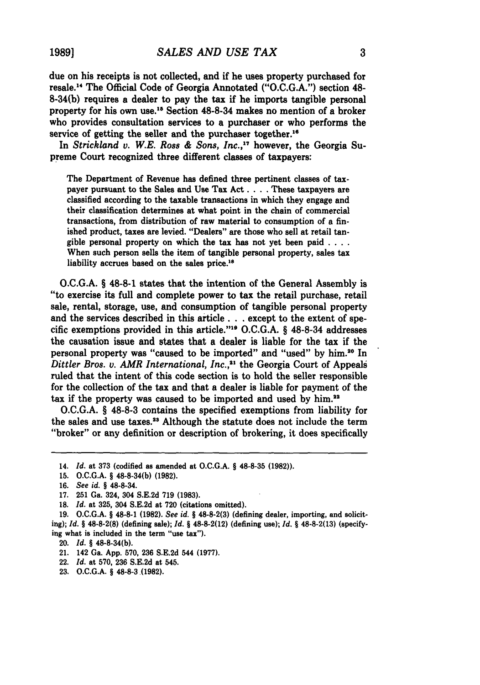due on his receipts is not collected, and if he uses property purchased for resale.14 The Official Code of Georgia Annotated **("O.C.G.A.")** section 48- 8-34(b) requires a dealer to pay the tax if he imports tangible personal property for his own use.15 Section 48-8-34 makes no mention of a broker who provides consultation services to a purchaser or who performs the service of getting the seller and the purchaser together.<sup>16</sup>

In *Strickland v. W.E. Ross & Sons, Inc.,17* however, the Georgia Supreme Court recognized three different classes of taxpayers:

The Department of Revenue has defined three pertinent classes of taxpayer pursuant to the Sales and Use Tax Act **....** These taxpayers are classified according to the taxable transactions in which they engage and their classification determines at what point in the chain of commercial transactions, from distribution of raw material to consumption of a finished product, taxes are levied. "Dealers" are those who sell at retail tangible personal property on which the tax has not yet been paid **....** When such person sells the item of tangible personal property, sales tax liability accrues based on the sales price.<sup>18</sup>

**O.C.G.A.** § **48-8-1** states that the intention of the General Assembly is "to exercise its full and complete power to tax the retail purchase, retail sale, rental, storage, use, and consumption of tangible personal property and the services described in this article **. . .** except to the extent of specific exemptions provided in this article."<sup>19</sup> O.C.G.A. § 48-8-34 addresses the causation issue and states that a dealer is liable for the tax if the personal property was "caused to be imported" and "used" **by** him.20 In *Ditler Bros.* **v.** *AMR International, Inc.,21* the Georgia Court of Appeals ruled that the intent of this code section is to hold the seller responsible for the collection of the tax and that a dealer is liable for payment of the tax if the property was caused to be imported and used **by** him.<sup>2</sup>

**O.C.G.A.** § **48-8-3** contains the specified exemptions from liability for the sales and use taxes.<sup>23</sup> Although the statute does not include the term "broker" or any definition or description of brokering, it does specifically

- 21. 142 Ga. **App. 570, 236 S.E.2d** 544 **(1977).**
- *22. Id.* at **570, 236 S.E.2d** at 545.
- **23. O.C.G.A. §** 48-8-3 **(1982).**

<sup>14.</sup> *Id.* at **373** (codified **as** amended at **O.C.G.A.** § **48-8-35 (1982)).**

**<sup>15.</sup> O.C.G.A.** § 48-8-34(b) **(1982).**

**<sup>16.</sup>** *See id.* **§** 48-8-34.

**<sup>17. 251</sup>** Ga. 324, 304 **S.E.2d 719 (1983).**

**<sup>18.</sup>** *Id.* at **325,** 304 **S.E.2d** at **720** (citations omitted).

**<sup>19.</sup> O.C.G.A.** § **48-8-1 (1982).** *See id.* § **48-8-2(3)** (defining dealer, importing, and soliciting); *Id.* § **48-8-2(8)** (defining sale); *Id.* § **48-8-2(12)** (defining use); *Id.* § **48-8-2(13)** (specifying what is included in the term "use tax").

<sup>20.</sup> *Id.* § 48-8-34(b).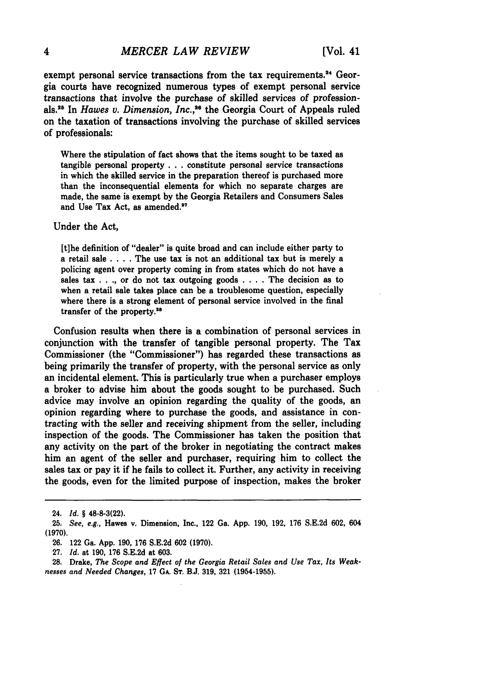exempt personal service transactions from the tax requirements.<sup>24</sup> Georgia courts have recognized numerous types of exempt personal service transactions that involve the purchase of skilled services of profession**als <sup>2</sup>**In *Hawes v. Dimension, Inc.,16* the Georgia Court of Appeals ruled on the taxation of transactions involving the purchase of skilled services of professionals:

Where the stipulation of fact shows that the items sought to be taxed as tangible personal property **...** constitute personal service transactions in which the skilled service in the preparation thereof is purchased more than the inconsequential elements for which no separate charges are made, the same is exempt **by** the Georgia Retailers and Consumers Sales and Use Tax Act, as amended.<sup>27</sup>

Under the Act,

[tihe definition of "dealer" is quite broad and can include either party to a retail sale .... The use tax is not an additional tax but is merely a policing agent over property coming in from states which do not have a sales tax . **. .,** or do not tax outgoing goods .... The decision as to when a retail sale takes place can be a troublesome question, especially where there is a strong element of personal service involved in the final transfer of the property.<sup>28</sup>

Confusion results when there is a combination of personal services in conjunction with the transfer of tangible personal property. The Tax Commissioner (the "Commissioner") has regarded these transactions as being primarily the transfer of property, with the personal service as only an incidental element. This is particularly true when a purchaser employs a broker to advise him about the goods sought to be purchased. Such advice may involve an opinion regarding the quality of the goods, an opinion regarding where to purchase the goods, and assistance in contracting with the seller and receiving shipment from the seller, including inspection of the goods. The Commissioner has taken the position that any activity on the part of the broker in negotiating the contract makes him an agent of the seller and purchaser, requiring him to collect the sales tax or pay it if he fails to collect it. Further, any activity in receiving the goods, even for the limited purpose of inspection, makes the broker

<sup>24.</sup> *Id. §* 48-8-3(22).

**<sup>25.</sup>** *See, e.g.,* Hawes v. Dimension, Inc., 122 Ga. **App. 190, 192, 176 S.E.2d 602,** 604 **(1970).**

**<sup>26.</sup>** 122 Ga. **App. 190, 176 S.E.2d 602 (1970).**

**<sup>27.</sup>** *Id.* at **190, 176 S.E.2d** at **603.**

**<sup>28.</sup>** Drake, *The Scope and Effect of the Georgia Retail Sales and Use Tax, Its Weaknesses and Needed Changes,* **17 GA. ST. BJ. 319, 321 (1954-1955).**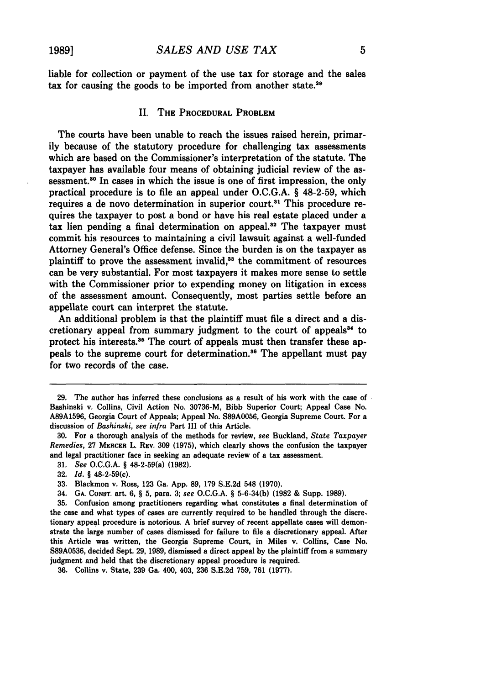liable for collection or payment of the use tax for storage and the sales tax for causing the goods to be imported from another state.<sup>29</sup>

#### **II.** THE PROCEDURAL PROBLEM

The courts have been unable to reach the issues raised herein, primarily because of the statutory procedure for challenging tax assessments which are based on the Commissioner's interpretation of the statute. The taxpayer has available four means of obtaining judicial review of the assessment.<sup>30</sup> In cases in which the issue is one of first impression, the only practical procedure is to file an appeal under O.C.G.A. § **48-2-59,** which requires a de novo determination in superior court.<sup>31</sup> This procedure requires the taxpayer to post a bond or have his real estate placed under a tax lien pending a final determination on appeal.32 The taxpayer must commit his resources to maintaining a civil lawsuit against a well-funded Attorney General's Office defense. Since the burden is on the taxpayer as plaintiff to prove the assessment invalid,<sup>33</sup> the commitment of resources can be very substantial. For most taxpayers it makes more sense to settle with the Commissioner prior to expending money on litigation in excess of the assessment amount. Consequently, most parties settle before an appellate court can interpret the statute.

An additional problem is that the plaintiff must file a direct and a discretionary appeal from summary judgment to the court of appeals<sup>34</sup> to protect his interests.<sup>35</sup> The court of appeals must then transfer these appeals to the supreme court for determination.<sup>36</sup> The appellant must pay for two records of the case.

*31. See* O.C.G.A. **§** 48-2-59(a) (1982).

- *33.* Blackmon v. Ross, 123 Ga. App. 89, 179 S.E.2d 548 (1970).
- 34. **GA. CONST.** art. 6, § 5, para. **3;** *see* O.C.G.A. § 5-6-34(b) (1982 & Supp. 1989).

*<sup>29.</sup>* The author has inferred these conclusions as a result of his work with the case of Bashinski v. Collins, Civil Action No. 30736-M, Bibb Superior Court; Appeal Case No. **A89A1596,** Georgia Court of Appeals; Appeal No. **S89A0056,** Georgia Supreme Court. For a discussion of *Bashinski, see infra* Part III of this Article.

<sup>30.</sup> For a thorough analysis of the methods for review, *see* Buckland, State *Taxpayer Remedies,* 27 MERCER L. REV. 309 (1975), which clearly shows the confusion the taxpayer and legal practitioner face in seeking an adequate review of a tax assessment.

*<sup>32.</sup> Id.* § 48-2-59(c).

**<sup>35.</sup>** Confusion among practitioners regarding what constitutes a final determination of the case and what types of cases are currently required to be handled through the discretionary appeal procedure is notorious. **A** brief survey of recent appellate cases will demonstrate the large number of cases dismissed for failure to file a discretionary appeal. After this Article was written, the Georgia Supreme Court, in Miles v. Collins, Case No. **\$89A0536,** decided Sept. **29, 1989,** dismissed a direct appeal **by** the plaintiff from a summary judgment and held that the discretionary appeal procedure is required.

**<sup>36.</sup>** Collins v. State, **239** Ga. 400, 403, **236** S.E.2d **759,** 761 **(1977).**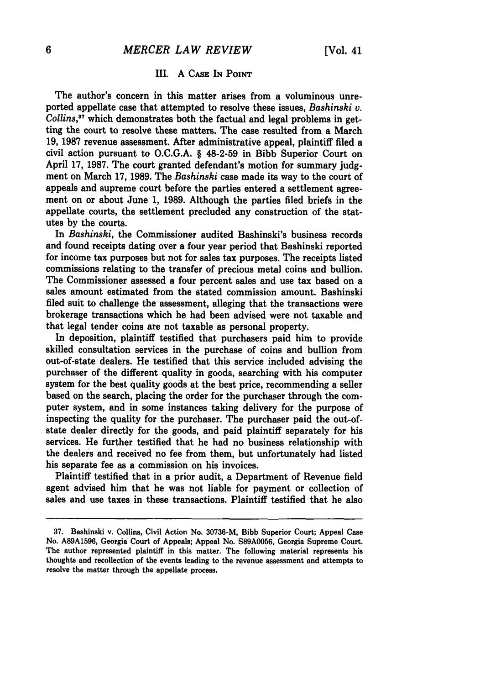#### III. **A CASE** IN **POINT**

The author's concern in this matter arises from a voluminous unreported appellate case that attempted to resolve these issues, *Bashinski v. Collins,"* which demonstrates both the factual and legal problems in getting the court to resolve these matters. The case resulted from a March **19, 1987** revenue assessment. After administrative appeal, plaintiff filed a civil action pursuant to O.C.G.A. § **48-2-59** in Bibb Superior Court on April 17, **1987.** The court granted defendant's motion for summary judgment on March 17, **1989.** The *Bashinski* case made its way to the court of appeals and supreme court before the parties entered a settlement agreement on or about June 1, **1989.** Although the parties filed briefs in the appellate courts, the settlement precluded any construction of the statutes by the courts.

In *Bashinski,* the Commissioner audited Bashinski's business records and found receipts dating over a four year period that Bashinski reported for income tax purposes but not for sales tax purposes. The receipts listed commissions relating to the transfer of precious metal coins and bullion. The Commissioner assessed a four percent sales and use tax based on a sales amount estimated from the stated commission amount. Bashinski filed suit to challenge the assessment, alleging that the transactions were brokerage transactions which he had been advised were not taxable and that legal tender coins are not taxable as personal property.

In deposition, plaintiff testified that purchasers paid him to provide skilled consultation services in the purchase of coins and bullion from out-of-state dealers. He testified that this service included advising the purchaser of the different quality in goods, searching with his computer system for the best quality goods at the best price, recommending a seller based on the search, placing the order for the purchaser through the computer system, and in some instances taking delivery for the purpose of inspecting the quality for the purchaser. The purchaser paid the out-ofstate dealer directly for the goods, and paid plaintiff separately for his services. He further testified that he had no business relationship with the dealers and received no fee from them, but unfortunately had listed his separate fee as a commission on his invoices.

Plaintiff testified that in a prior audit, a Department of Revenue field agent advised him that he was not liable for payment or collection of sales and use taxes in these transactions. Plaintiff testified that he also

**<sup>37.</sup>** Bashinski v. Collins, Civil Action No. 30736-M, Bibb Superior Court; Appeal Case No. **A89A1596,** Georgia Court of Appeals; Appeal No. **S89A0056,** Georgia Supreme Court. The author represented plaintiff in this matter. The following material represents his thoughts and recollection of the events leading to the revenue assessment and attempts to resolve the matter through the appellate process.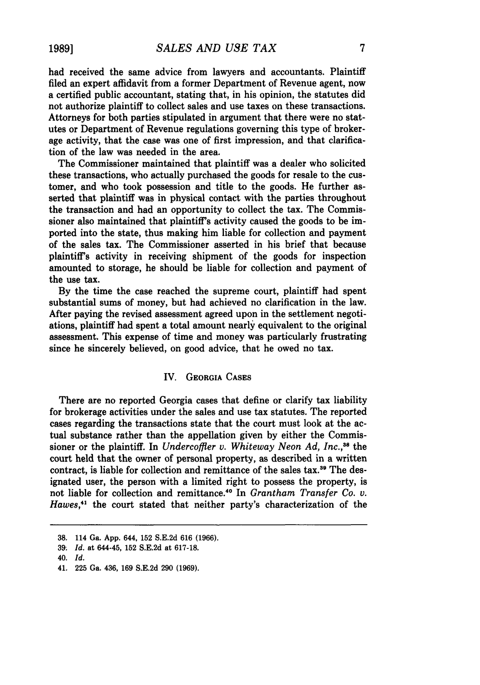had received the same advice from lawyers and accountants. Plaintiff filed an expert affidavit from a former Department of Revenue agent, now a certified public accountant, stating that, in his opinion, the statutes did not authorize plaintiff to collect sales and use taxes on these transactions. Attorneys for both parties stipulated in argument that there were no statutes or Department of Revenue regulations governing this type of brokerage activity, that the case was one of first impression, and that clarification of the law was needed in the area.

The Commissioner maintained that plaintiff was a dealer who solicited these transactions, who actually purchased the goods for resale to the customer, and who took possession and title to the goods. He further asserted that plaintiff was in physical contact with the parties throughout the transaction and had an opportunity to collect the tax. The Commissioner also maintained that plaintiff's activity caused the goods to be imported into the state, thus making him liable for collection and payment of the sales tax. The Commissioner asserted in his brief that because plaintiff's activity in receiving shipment of the goods for inspection amounted to storage, he should be liable for collection and payment of the use tax.

**By** the time the case reached the supreme court, plaintiff had spent substantial sums of money, but had achieved no clarification in the law. After paying the revised assessment agreed upon in the settlement negotiations, plaintiff had spent a total amount nearly equivalent to the original assessment. This expense of time and money was particularly frustrating since he sincerely believed, on good advice, that he owed no tax.

#### IV. GEORGIA **CASES**

There are no reported Georgia cases that define or clarify tax liability for brokerage activities under the sales and use tax statutes. The reported cases regarding the transactions state that the court must look at the actual substance rather than the appellation given by either the Commissioner or the plaintiff. In *Undercoffler v. Whiteway Neon Ad, Inc.*,<sup>38</sup> the court held that the owner of personal property, as described in a written contract, is liable for collection and remittance of the sales tax.<sup>39</sup> The designated user, the person with a limited right to possess the property, is not liable for collection and remittance.<sup>40</sup> In *Grantham Transfer Co. v. Hawes,4 <sup>1</sup>*the court stated that neither party's characterization of the

**<sup>38.</sup>** 114 Ga. App. 644, 152 S.E.2d 616 (1966).

**<sup>39</sup>** *Id.* at 644-45, 152 S.E.2d at 617-18.

<sup>40.</sup> *Id.*

<sup>41.</sup> **225** Ga. 436, **169 S.E.2d 290 (1969).**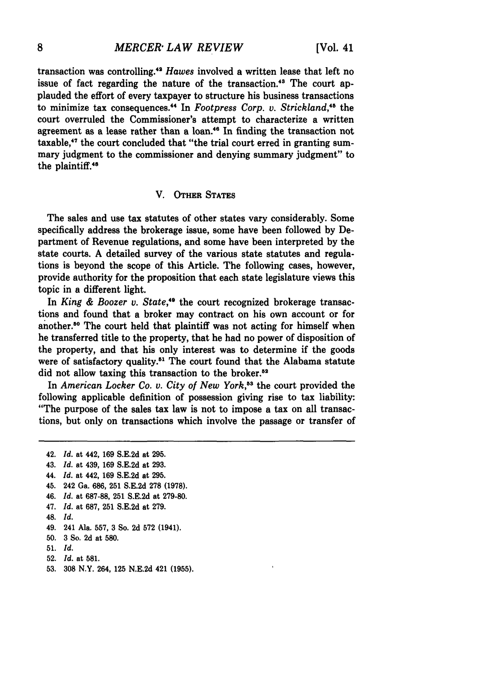transaction was controlling.<sup>42</sup> Hawes involved a written lease that left no issue of fact regarding the nature of the transaction.<sup>43</sup> The court applauded the effort of every taxpayer to structure his business transactions to minimize tax consequences." In *Footpress Corp. v. Strickland,"* the court overruled the Commissioner's attempt to characterize a written agreement as a lease rather than a loan.'a In finding the transaction not taxable,<sup>47</sup> the court concluded that "the trial court erred in granting summary judgment to the commissioner and denying summary judgment" to the plaintiff.<sup>48</sup>

#### V. **OTHER STATES**

The sales and use tax statutes of other states vary considerably. Some specifically address the brokerage issue, some have been followed **by** Department of Revenue regulations, and some have been interpreted **by** the state courts. **A** detailed survey of the various state statutes and regulations is beyond the scope of this Article. The following cases, however, provide authority for the proposition that each state legislature views this topic in a different light.

In *King & Boozer v. State,"* the court recognized brokerage transactions and found that a broker may contract on his own account or for another.50 The court held that plaintiff was not acting for himself when he transferred title to the property, that he had no power of disposition of the property, and that his only interest was to determine if the goods were of satisfactory quality.<sup>51</sup> The court found that the Alabama statute did not allow taxing this transaction to the broker.<sup>52</sup>

In *American Locker Co. v. City of New York,'8* the court provided the following applicable definition of possession giving rise to tax liability: "The purpose of the sales tax law is not to impose a tax on all transactions, but only on transactions which involve the passage or transfer of

<sup>42.</sup> Id. at 442, 169 S.E.2d at 295. 43. Id. at 439, 169 S.E.2d at 293. 44. **Id.** at 442, **169** S.E.2d at 295. 45. 242 Ga. 686, 251 S.E.2d 278 (1978). 46. Id. at **687-88, 251 S.E.2d** at **279-80.** *47.* Id. at 687, 251 S.E.2d at 279. 48. **Id.** 49. 241 Ala. **557, 3** So. **2d 572** (1941). **50. 3** So. **2d** at **580. 51. Id. 52. Id.** at **581.**

**<sup>53. 308</sup>** N.Y. 264, **125 N.E.2d** 421 **(1955).**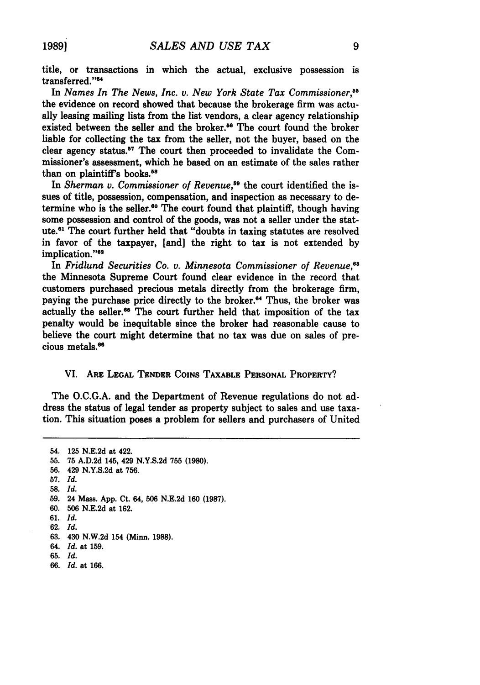title, or transactions in which the actual, exclusive possession is transferred."<sup>54</sup>

In *Names In The News, Inc. v. New York State Tax Commissioner,"* the evidence on record showed that because the brokerage firm was actually leasing mailing lists from the list vendors, a clear agency relationship existed between the seller and the broker.<sup>56</sup> The court found the broker liable for collecting the tax from the seller, not the buyer, based on the clear agency status.<sup>57</sup> The court then proceeded to invalidate the Commissioner's assessment, which he based on an estimate of the sales rather than on plaintiff's books.<sup>58</sup>

In *Sherman v. Commissioner of Revenue*,<sup>59</sup> the court identified the issues of title, possession, compensation, and inspection as necessary to determine who is the seller.<sup>60</sup> The court found that plaintiff, though having some possession and control of the goods, was not a seller under the statute.<sup>61</sup> The court further held that "doubts in taxing statutes are resolved in favor of the taxpayer, [and] the right to tax is not extended by implication."<sup>62</sup>

In *Fridlund Securities Co. v. Minnesota Commissioner of Revenue*.<sup>63</sup> the Minnesota Supreme Court found clear evidence in the record that customers purchased precious metals directly from the brokerage firm, paying the purchase price directly to the broker.<sup>64</sup> Thus, the broker was actually the seller.<sup>66</sup> The court further held that imposition of the tax penalty would be inequitable since the broker had reasonable cause to believe the court might determine that no tax was due on sales of precious metals.<sup>66</sup>

#### VI. ARE **LEGAL TENDER** COINS TAXABLE **PERSONAL** PROPERTY?

The O.C.G.A. and the Department of Revenue regulations do not address the status of legal tender as property subject to sales and use taxation. This situation poses a problem for sellers and purchasers of United

<sup>54.</sup> **125 N.E.2d** at 422. **55.** 75 A.D.2d 145, 429 N.Y.S.2d **755 (1980).** 56. 429 N.Y.S.2d at 756. 57. *Id.* 58. *Id.* **59.** 24 Mass. App. Ct. 64, **506** N.E.2d 160 (1987). **60. 506** N.E.2d at **162.** 61. *Id. 62. Id. 63.* 430 N.W.2d 154 (Minn. 1988). 64. *Id.* at 159. **65.** *Id.*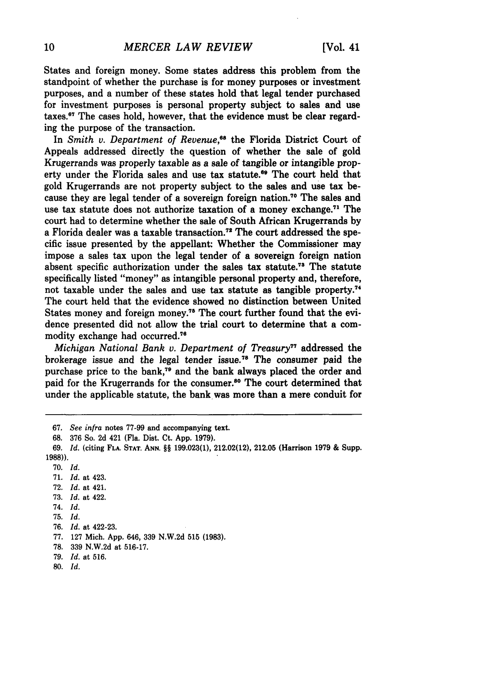States and foreign money. Some states address this problem from the standpoint of whether the purchase is for money purposes or investment purposes, and a number of these states hold that legal tender purchased for investment purposes is personal property subject to sales and use taxes.67 The cases hold, however, that the evidence must be clear regarding the purpose of the transaction.

In *Smith v. Department of Revenue*,<sup>66</sup> the Florida District Court of Appeals addressed directly the question of whether the sale of gold Krugerrands was properly taxable as a sale of tangible or intangible property under the Florida sales and use tax statute.<sup>69</sup> The court held that gold Krugerrands are not property subject to the sales and use tax because they are legal tender of a sovereign foreign nation.70 The sales and use tax statute does not authorize taxation of a money exchange.<sup>71</sup> The court had to determine whether the sale of South African Krugerrands **by** a Florida dealer was a taxable transaction.<sup>72</sup> The court addressed the specific issue presented **by** the appellant: Whether the Commissioner may impose a sales tax upon the legal tender of a sovereign foreign nation absent specific authorization under the sales tax statute.<sup>73</sup> The statute specifically listed "money" as intangible personal property and, therefore, not taxable under the sales and use tax statute as tangible property." The court held that the evidence showed no distinction between United States money and foreign money.<sup>75</sup> The court further found that the evidence presented did not allow the trial court to determine that a commodity exchange had occurred.<sup>76</sup>

*Michigan National Bank v. Department of Treasury77* addressed the brokerage issue and the legal tender issue."8 The consumer paid the purchase price to the bank,<sup>79</sup> and the bank always placed the order and paid for the Krugerrands for the consumer.<sup>80</sup> The court determined that under the applicable statute, the bank was more than a mere conduit for

- **70.** *Id.*
- **71.** *Id.* at 423.
- **72.** *Id.* at 421.
- **73.** *Id.* at 422.
- 74. *Id.*
- **75.** *Id.*
- 76. *Id.* at 422-23.
- 77. 127 Mich. App. 646, 339 N.W.2d **515** (1983).
- 78. 339 N.W.2d at 516-17.
- 79. *Id.* at 516.
- 80. *Id.*

**<sup>67.</sup>** *See infra* notes **77-99** and accompanying text.

**<sup>68. 376</sup>** So. **2d** 421 (Fla. Dist. Ct. **App. 1979).**

**<sup>69.</sup>** *Id.* (citing **FLA. STAT. ANN.** §§ **199.023(1),** 212.02(12), **212.05** (Harrison **1979 &** Supp. 1988)).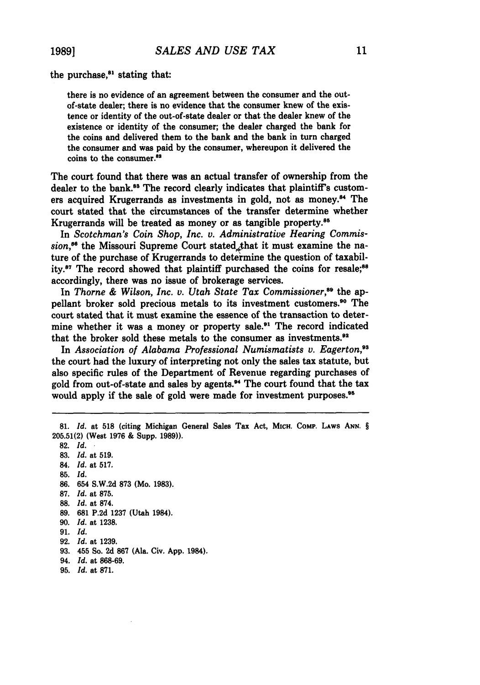**1989]**

the purchase.<sup>81</sup> stating that:

there is no evidence of an agreement between the consumer and the outof-state dealer; there is no evidence that the consumer knew of the existence or identity of the out-of-state dealer or that the dealer knew of the existence or identity of the consumer; the dealer charged the bank for the coins and delivered them to the bank and the bank in turn charged the consumer and was paid by the consumer, whereupon it delivered the coins to the consumer.<sup>82</sup>

The court found that there was an actual transfer of ownership from the dealer to the bank.<sup>83</sup> The record clearly indicates that plaintiff's customers acquired Krugerrands as investments in gold, not as money.<sup>84</sup> The court stated that the circumstances of the transfer determine whether Krugerrands will be treated as money or as tangible property.<sup>85</sup>

In *Scotchman's Coin Shop, Inc. v. Administrative Hearing Commis*sion,<sup>86</sup> the Missouri Supreme Court stated<sub>,*that* it must examine the na-</sub> ture of the purchase of Krugerrands to determine the question of taxability.<sup>87</sup> The record showed that plaintiff purchased the coins for resale;<sup>88</sup> accordingly, there was no issue of brokerage services.

In Thorne & Wilson, Inc. v. Utah State Tax Commissioner,<sup>89</sup> the appellant broker sold precious metals to its investment customers." The court stated that it must examine the essence of the transaction to determine whether it was a money or property sale.<sup>91</sup> The record indicated that the broker sold these metals to the consumer as investments.<sup>92</sup>

In *Association of Alabama Professional Numismatists v. Eagerton,93* the court had the luxury of interpreting not only the sales tax statute, but also specific rules of the Department of Revenue regarding purchases of gold from out-of-state and sales by agents.<sup>94</sup> The court found that the tax would apply if the sale of gold were made for investment purposes.<sup>95</sup>

**82.** *Id.* **83.** *Id.* at 519. 84. *Id.* at 517. 85. *Id.* **86.** 654 **S.W.2d 873** (Mo. **1983). 87.** *Id.* at **875. 88.** *Id.* at **874. 89. 681 P.2d 1237** (Utah 1984). **90.** *Id.* at **1238. 91.** *Id.* **92.** *Id.* at **1239. 93.** 455 So. **2d 867** (Ala. Civ. **App.** 1984). 94. *Id.* at **868-69.**

**<sup>81.</sup>** *Id.* at 518 (citing Michigan General Sales Tax Act, **MICH. COMP.** LAws **ANN.** § **205.51(2)** (West **1976 &** Supp. **1989)).**